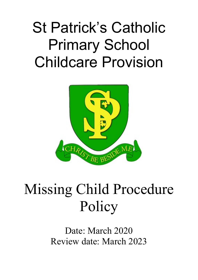# St Patrick's Catholic Primary School Childcare Provision



## Missing Child Procedure Policy

Date: March 2020 Review date: March 2023